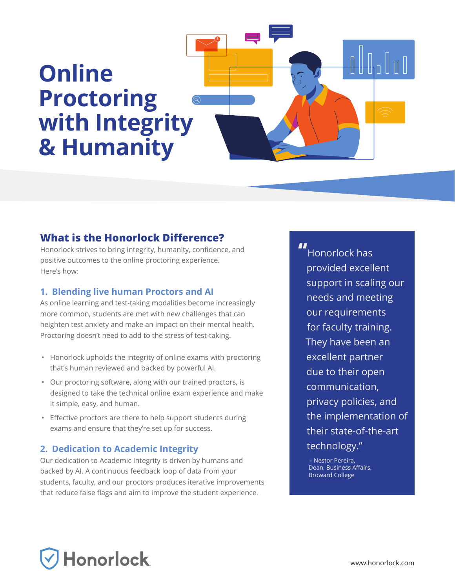# **3 Online Proctoring with Integrity & Humanity**

# **What is the Honorlock Difference?**

Honorlock strives to bring integrity, humanity, confidence, and positive outcomes to the online proctoring experience. Here's how:

#### **1. Blending live human Proctors and AI**

As online learning and test-taking modalities become increasingly more common, students are met with new challenges that can heighten test anxiety and make an impact on their mental health. Proctoring doesn't need to add to the stress of test-taking.

- Honorlock upholds the integrity of online exams with proctoring that's human reviewed and backed by powerful AI.
- Our proctoring software, along with our trained proctors, is designed to take the technical online exam experience and make it simple, easy, and human.
- Effective proctors are there to help support students during exams and ensure that they're set up for success.

#### **2. Dedication to Academic Integrity**

Our dedication to Academic Integrity is driven by humans and backed by AI. A continuous feedback loop of data from your students, faculty, and our proctors produces iterative improvements that reduce false flags and aim to improve the student experience.

**"** Honorlock has provided excellent support in scaling our needs and meeting our requirements for faculty training. They have been an excellent partner due to their open communication, privacy policies, and the implementation of their state-of-the-art technology."

– Nestor Pereira, Dean, Business Affairs, Broward College